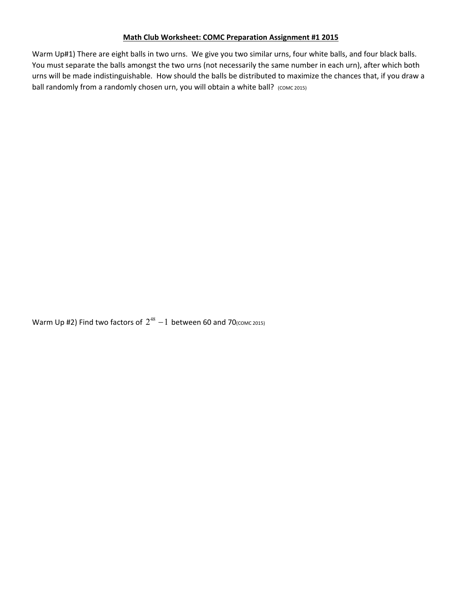## **Math Club Worksheet: COMC Preparation Assignment #1 2015**

Warm Up#1) There are eight balls in two urns. We give you two similar urns, four white balls, and four black balls. You must separate the balls amongst the two urns (not necessarily the same number in each urn), after which both urns will be made indistinguishable. How should the balls be distributed to maximize the chances that, if you draw a ball randomly from a randomly chosen urn, you will obtain a white ball? (COMC 2015)

Warm Up #2) Find two factors of  $2^{48} - 1$  between 60 and 70( $\text{convc 2015}$ )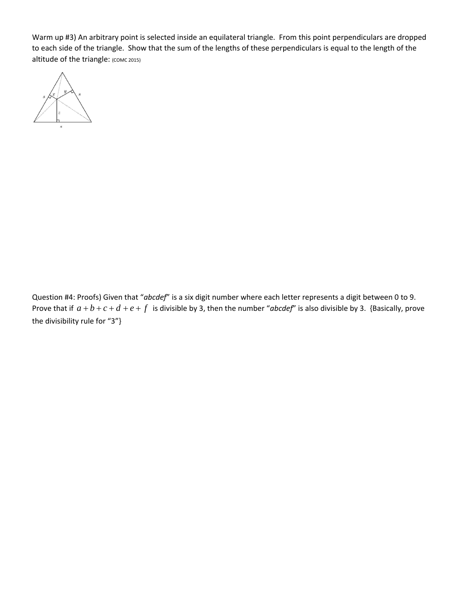Warm up #3) An arbitrary point is selected inside an equilateral triangle. From this point perpendiculars are dropped to each side of the triangle. Show that the sum of the lengths of these perpendiculars is equal to the length of the altitude of the triangle: (COMC 2015)



Question #4: Proofs) Given that "*abcdef*" is a six digit number where each letter represents a digit between 0 to 9. Prove that if  $a+b+c+d+e+f$  is divisible by 3, then the number "*abcdef*" is also divisible by 3. {Basically, prove the divisibility rule for "3"}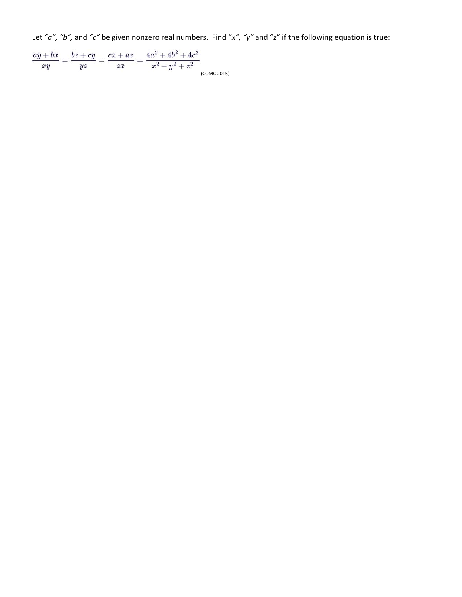Let *"a", "b",* and *"c"* be given nonzero real numbers. Find "*x", "y"* and "*z*" if the following equation is true:

 $\frac{ay+bx}{xy} = \frac{bz+cy}{yz} = \frac{cx+az}{zx} = \frac{4a^2+4b^2+4c^2}{x^2+y^2+z^2}$ (COMC 2015)